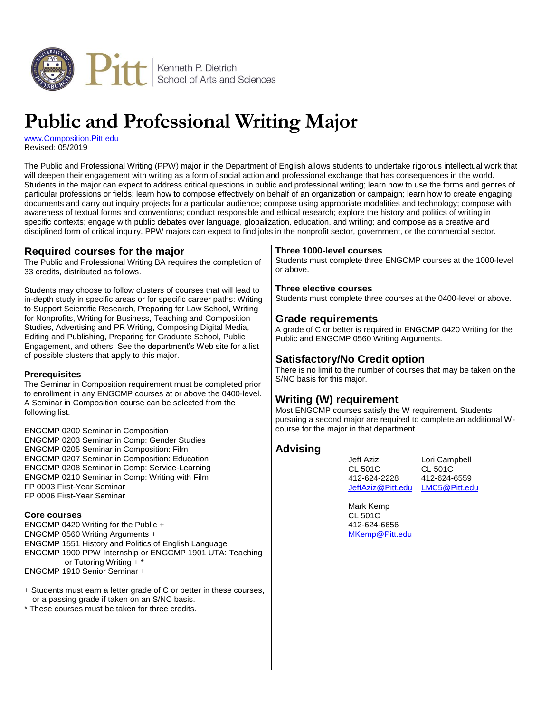

# **Public and Professional Writing Major**

[www.Composition.Pitt.edu](http://www.composition.pitt.edu/) Revised: 05/2019

The Public and Professional Writing (PPW) major in the Department of English allows students to undertake rigorous intellectual work that will deepen their engagement with writing as a form of social action and professional exchange that has consequences in the world. Students in the major can expect to address critical questions in public and professional writing; learn how to use the forms and genres of particular professions or fields; learn how to compose effectively on behalf of an organization or campaign; learn how to create engaging documents and carry out inquiry projects for a particular audience; compose using appropriate modalities and technology; compose with awareness of textual forms and conventions; conduct responsible and ethical research; explore the history and politics of writing in specific contexts; engage with public debates over language, globalization, education, and writing; and compose as a creative and disciplined form of critical inquiry. PPW majors can expect to find jobs in the nonprofit sector, government, or the commercial sector.

# **Required courses for the major**

The Public and Professional Writing BA requires the completion of 33 credits, distributed as follows.

Students may choose to follow clusters of courses that will lead to in-depth study in specific areas or for specific career paths: Writing to Support Scientific Research, Preparing for Law School, Writing for Nonprofits, Writing for Business, Teaching and Composition Studies, Advertising and PR Writing, Composing Digital Media, Editing and Publishing, Preparing for Graduate School, Public Engagement, and others. See the department's Web site for a list of possible clusters that apply to this major.

## **Prerequisites**

The Seminar in Composition requirement must be completed prior to enrollment in any ENGCMP courses at or above the 0400-level. A Seminar in Composition course can be selected from the following list.

ENGCMP 0200 Seminar in Composition ENGCMP 0203 Seminar in Comp: Gender Studies ENGCMP 0205 Seminar in Composition: Film ENGCMP 0207 Seminar in Composition: Education ENGCMP 0208 Seminar in Comp: Service-Learning ENGCMP 0210 Seminar in Comp: Writing with Film FP 0003 First-Year Seminar FP 0006 First-Year Seminar

#### **Core courses**

ENGCMP 0420 Writing for the Public + ENGCMP 0560 Writing Arguments + ENGCMP 1551 History and Politics of English Language ENGCMP 1900 PPW Internship or ENGCMP 1901 UTA: Teaching or Tutoring Writing + \* ENGCMP 1910 Senior Seminar +

- + Students must earn a letter grade of C or better in these courses, or a passing grade if taken on an S/NC basis.
- \* These courses must be taken for three credits.

## **Three 1000-level courses**

Students must complete three ENGCMP courses at the 1000-level or above.

#### **Three elective courses**

Students must complete three courses at the 0400-level or above.

## **Grade requirements**

A grade of C or better is required in ENGCMP 0420 Writing for the Public and ENGCMP 0560 Writing Arguments.

# **Satisfactory/No Credit option**

There is no limit to the number of courses that may be taken on the S/NC basis for this major.

# **Writing (W) requirement**

Most ENGCMP courses satisfy the W requirement. Students pursuing a second major are required to complete an additional Wcourse for the major in that department.

## **Advising**

412-624-2228 412-624-6559 [JeffAziz@Pitt.edu](mailto:jeffaziz@pitt.edu) [LMC5@Pitt.edu](mailto:lmc5@pitt.edu)

Jeff Aziz Lori Campbell CL 501C

Mark Kemp CL 501C 412-624-6656 [MKemp@Pitt.edu](mailto:mkemp@pitt.edu)